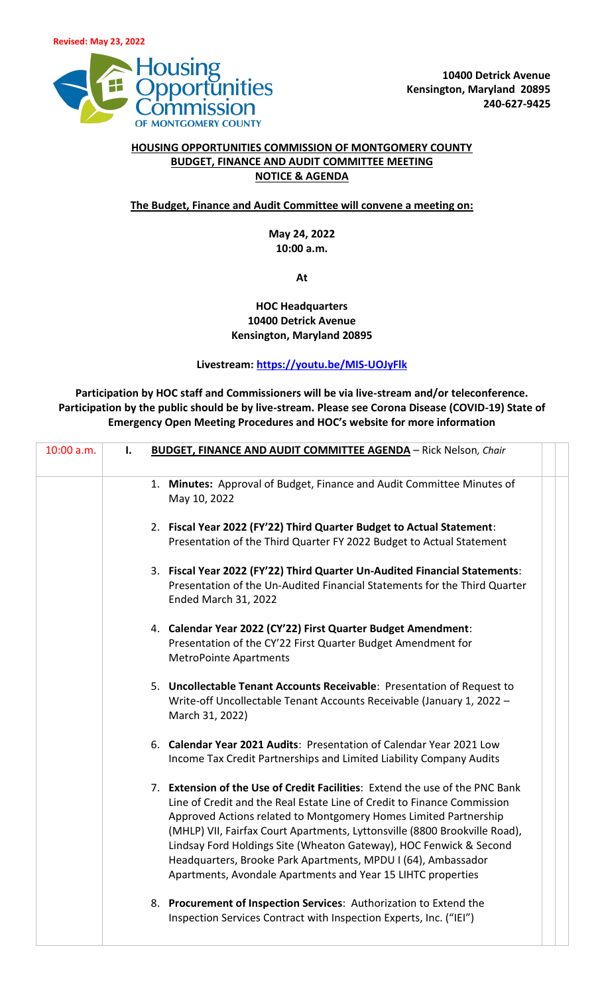

## **HOUSING OPPORTUNITIES COMMISSION OF MONTGOMERY COUNTY BUDGET, FINANCE AND AUDIT COMMITTEE MEETING NOTICE & AGENDA**

## **The Budget, Finance and Audit Committee will convene a meeting on:**

**May 24, 2022 10:00 a.m.**

**At** 

## **HOC Headquarters 10400 Detrick Avenue Kensington, Maryland 20895**

## **Livestream:<https://youtu.be/MIS-UOJyFlk>**

**Participation by HOC staff and Commissioners will be via live-stream and/or teleconference. Participation by the public should be by live-stream. Please see Corona Disease (COVID-19) State of Emergency Open Meeting Procedures and HOC's website for more information**

| 10:00 a.m. | I. | <b>BUDGET, FINANCE AND AUDIT COMMITTEE AGENDA - Rick Nelson, Chair</b>                                                                                                                                                                                                                                                                                                                                                                                                                                           |
|------------|----|------------------------------------------------------------------------------------------------------------------------------------------------------------------------------------------------------------------------------------------------------------------------------------------------------------------------------------------------------------------------------------------------------------------------------------------------------------------------------------------------------------------|
|            |    |                                                                                                                                                                                                                                                                                                                                                                                                                                                                                                                  |
|            |    | 1. Minutes: Approval of Budget, Finance and Audit Committee Minutes of<br>May 10, 2022                                                                                                                                                                                                                                                                                                                                                                                                                           |
|            |    | 2. Fiscal Year 2022 (FY'22) Third Quarter Budget to Actual Statement:<br>Presentation of the Third Quarter FY 2022 Budget to Actual Statement                                                                                                                                                                                                                                                                                                                                                                    |
|            |    | 3. Fiscal Year 2022 (FY'22) Third Quarter Un-Audited Financial Statements:<br>Presentation of the Un-Audited Financial Statements for the Third Quarter<br><b>Ended March 31, 2022</b>                                                                                                                                                                                                                                                                                                                           |
|            |    | 4. Calendar Year 2022 (CY'22) First Quarter Budget Amendment:<br>Presentation of the CY'22 First Quarter Budget Amendment for<br><b>MetroPointe Apartments</b>                                                                                                                                                                                                                                                                                                                                                   |
|            |    | 5. Uncollectable Tenant Accounts Receivable: Presentation of Request to<br>Write-off Uncollectable Tenant Accounts Receivable (January 1, 2022 -<br>March 31, 2022)                                                                                                                                                                                                                                                                                                                                              |
|            |    | 6. Calendar Year 2021 Audits: Presentation of Calendar Year 2021 Low<br>Income Tax Credit Partnerships and Limited Liability Company Audits                                                                                                                                                                                                                                                                                                                                                                      |
|            |    | 7. Extension of the Use of Credit Facilities: Extend the use of the PNC Bank<br>Line of Credit and the Real Estate Line of Credit to Finance Commission<br>Approved Actions related to Montgomery Homes Limited Partnership<br>(MHLP) VII, Fairfax Court Apartments, Lyttonsville (8800 Brookville Road),<br>Lindsay Ford Holdings Site (Wheaton Gateway), HOC Fenwick & Second<br>Headquarters, Brooke Park Apartments, MPDU I (64), Ambassador<br>Apartments, Avondale Apartments and Year 15 LIHTC properties |
|            |    | 8. Procurement of Inspection Services: Authorization to Extend the<br>Inspection Services Contract with Inspection Experts, Inc. ("IEI")                                                                                                                                                                                                                                                                                                                                                                         |